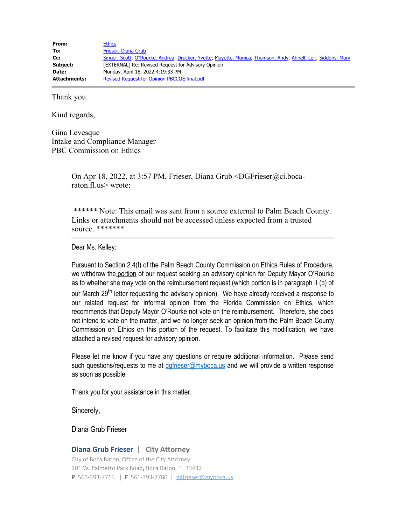| From:               | <b>Ethics</b>                                                                                                 |
|---------------------|---------------------------------------------------------------------------------------------------------------|
| To:                 | Frieser, Diana Grub                                                                                           |
| Cc:                 | Singer, Scott; O"Rourke, Andrea; Drucker, Yvette; Mayotte, Monica; Thomson, Andy; Ahnell, Leif; Siddons, Mary |
| Subject:            | [EXTERNAL] Re: Revised Request for Advisory Opinion                                                           |
| Date:               | Monday, April 18, 2022 4:19:33 PM                                                                             |
| <b>Attachments:</b> | Revised Request for Opinion PBCCOE final.pdf                                                                  |

Thank you.

Kind regards,

Gina Levesque Intake and Compliance Manager PBC Commission on Ethics

> On Apr 18, 2022, at 3:57 PM, Frieser, Diana Grub <DGFrieser@ci.bocaraton.fl.us> wrote:

\*\*\*\*\*\* Note: This email was sent from a source external to Palm Beach County. Links or attachments should not be accessed unless expected from a trusted source. \*\*\*\*\*\*\*

Dear Ms. Kelley:

Pursuant to Section 2.4(f) of the Palm Beach County Commission on Ethics Rules of Procedure, we withdraw the portion of our request seeking an advisory opinion for Deputy Mayor O'Rourke as to whether she may vote on the reimbursement request (which portion is in paragraph II (b) of our March 29<sup>th</sup> letter requesting the advisory opinion). We have already received a response to our related request for informal opinion from the Florida Commission on Ethics, which recommends that Deputy Mayor O'Rourke not vote on the reimbursement. Therefore, she does not intend to vote on the matter, and we no longer seek an opinion from the Palm Beach County Commission on Ethics on this portion of the request. To facilitate this modification, we have attached a revised request for advisory opinion.

Please let me know if you have any questions or require additional information. Please send such questions/requests to me at dafrieser@myboca.us and we will provide a written response as soon as possible.

Thank you for your assistance in this matter.

Sincerely,

Diana Grub Frieser

## **Diana Grub Frieser** | **City Attorney**

City of Boca Raton, Office of the City Attorney 201 W. Palmetto Park Road, Boca Raton, FL 33432 **P** 561-393-7715 | **F** 561-393-7780 | [dgfrieser@myboca.us](mailto:dgfrieser@myboca.us)